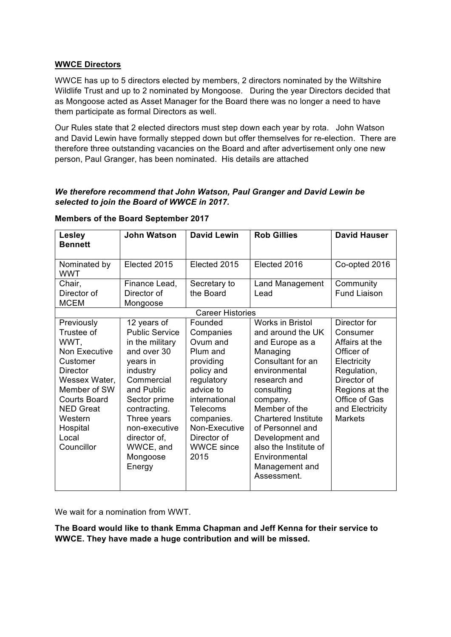## **WWCE Directors**

WWCE has up to 5 directors elected by members, 2 directors nominated by the Wiltshire Wildlife Trust and up to 2 nominated by Mongoose. During the year Directors decided that as Mongoose acted as Asset Manager for the Board there was no longer a need to have them participate as formal Directors as well.

Our Rules state that 2 elected directors must step down each year by rota. John Watson and David Lewin have formally stepped down but offer themselves for re-election. There are therefore three outstanding vacancies on the Board and after advertisement only one new person, Paul Granger, has been nominated. His details are attached

# *We therefore recommend that John Watson, Paul Granger and David Lewin be selected to join the Board of WWCE in 2017.*

| <b>Lesley</b><br><b>Bennett</b>                                                                                                                                                                            | <b>John Watson</b>                                                                                                                                                                                                                            | <b>David Lewin</b>                                                                                                                                                                                         | <b>Rob Gillies</b>                                                                                                                                                                                                                                                                                                           | <b>David Hauser</b>                                                                                                                                                           |
|------------------------------------------------------------------------------------------------------------------------------------------------------------------------------------------------------------|-----------------------------------------------------------------------------------------------------------------------------------------------------------------------------------------------------------------------------------------------|------------------------------------------------------------------------------------------------------------------------------------------------------------------------------------------------------------|------------------------------------------------------------------------------------------------------------------------------------------------------------------------------------------------------------------------------------------------------------------------------------------------------------------------------|-------------------------------------------------------------------------------------------------------------------------------------------------------------------------------|
| Nominated by<br><b>WWT</b>                                                                                                                                                                                 | Elected 2015                                                                                                                                                                                                                                  | Elected 2015                                                                                                                                                                                               | Elected 2016                                                                                                                                                                                                                                                                                                                 | Co-opted 2016                                                                                                                                                                 |
| Chair,<br>Director of<br><b>MCEM</b>                                                                                                                                                                       | Finance Lead,<br>Director of<br>Mongoose                                                                                                                                                                                                      | Secretary to<br>the Board                                                                                                                                                                                  | <b>Land Management</b><br>Lead                                                                                                                                                                                                                                                                                               | Community<br><b>Fund Liaison</b>                                                                                                                                              |
| <b>Career Histories</b>                                                                                                                                                                                    |                                                                                                                                                                                                                                               |                                                                                                                                                                                                            |                                                                                                                                                                                                                                                                                                                              |                                                                                                                                                                               |
| Previously<br>Trustee of<br>WWT,<br><b>Non Executive</b><br>Customer<br>Director<br>Wessex Water,<br>Member of SW<br><b>Courts Board</b><br><b>NED Great</b><br>Western<br>Hospital<br>Local<br>Councillor | 12 years of<br><b>Public Service</b><br>in the military<br>and over 30<br>years in<br>industry<br>Commercial<br>and Public<br>Sector prime<br>contracting.<br>Three years<br>non-executive<br>director of,<br>WWCE, and<br>Mongoose<br>Energy | Founded<br>Companies<br>Ovum and<br>Plum and<br>providing<br>policy and<br>regulatory<br>advice to<br>international<br>Telecoms<br>companies.<br>Non-Executive<br>Director of<br><b>WWCE since</b><br>2015 | <b>Works in Bristol</b><br>and around the UK<br>and Europe as a<br>Managing<br>Consultant for an<br>environmental<br>research and<br>consulting<br>company.<br>Member of the<br><b>Chartered Institute</b><br>of Personnel and<br>Development and<br>also the Institute of<br>Environmental<br>Management and<br>Assessment. | Director for<br>Consumer<br>Affairs at the<br>Officer of<br>Electricity<br>Regulation,<br>Director of<br>Regions at the<br>Office of Gas<br>and Electricity<br><b>Markets</b> |

## **Members of the Board September 2017**

We wait for a nomination from WWT.

**The Board would like to thank Emma Chapman and Jeff Kenna for their service to WWCE. They have made a huge contribution and will be missed.**